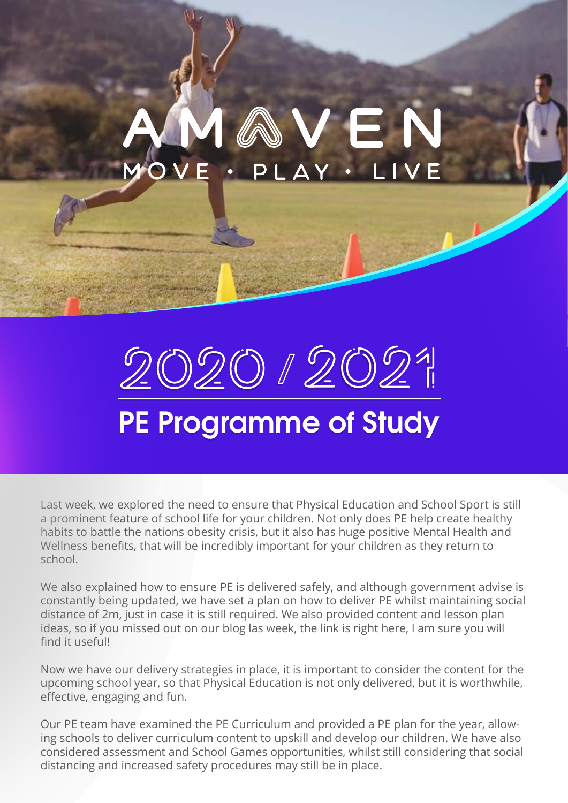## **AVEN**  $AY$ .

# 202012021 **PE Programme of Study PE Programme of Study**

Last week, we explored the need to ensure that Physical Education and School Sport is still a prominent feature of school life for your children. Not only does PE help create healthy habits to battle the nations obesity crisis, but it also has huge positive Mental Health and Wellness benefits, that will be incredibly important for your children as they return to school.

We also explained how to ensure PE is delivered safely, and although government advise is constantly being updated, we have set a plan on how to deliver PE whilst maintaining social distance of 2m, just in case it is still required. We also provided content and lesson plan ideas, so if you missed out on our blog las week, the link is right here, I am sure you will find it useful!

Now we have our delivery strategies in place, it is important to consider the content for the upcoming school year, so that Physical Education is not only delivered, but it is worthwhile, effective, engaging and fun.

Our PE team have examined the PE Curriculum and provided a PE plan for the year, allowing schools to deliver curriculum content to upskill and develop our children. We have also considered assessment and School Games opportunities, whilst still considering that social distancing and increased safety procedures may still be in place.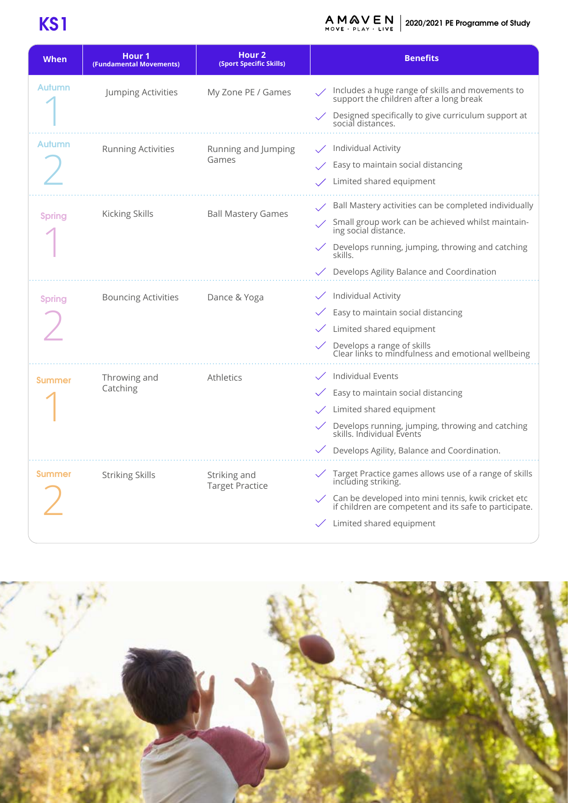## **KS1**

**2020/2021 PE Programme of Study**<br>MOVE - PLAY - LIVE

| When          | Hour 1<br>(Fundamental Movements) | Hour <sub>2</sub><br>(Sport Specific Skills) | <b>Benefits</b>                                                                                               |
|---------------|-----------------------------------|----------------------------------------------|---------------------------------------------------------------------------------------------------------------|
| Autumn        | Jumping Activities                | My Zone PE / Games                           | Includes a huge range of skills and movements to<br>support the children after a long break                   |
|               |                                   |                                              | Designed specifically to give curriculum support at<br>social distances.                                      |
| Autumn        | <b>Running Activities</b>         | Running and Jumping<br>Games                 | Individual Activity                                                                                           |
|               |                                   |                                              | Easy to maintain social distancing                                                                            |
|               |                                   |                                              | Limited shared equipment                                                                                      |
| <b>Spring</b> | Kicking Skills                    | <b>Ball Mastery Games</b>                    | Ball Mastery activities can be completed individually                                                         |
|               |                                   |                                              | Small group work can be achieved whilst maintain-<br>ing social distance.                                     |
|               |                                   |                                              | Develops running, jumping, throwing and catching<br>skills.                                                   |
|               |                                   |                                              | Develops Agility Balance and Coordination                                                                     |
| <b>Spring</b> | <b>Bouncing Activities</b>        | Dance & Yoga                                 | Individual Activity                                                                                           |
|               |                                   |                                              | Easy to maintain social distancing                                                                            |
|               |                                   |                                              | Limited shared equipment                                                                                      |
|               |                                   |                                              | Develops a range of skills<br>Clear links to mindfulness and emotional wellbeing                              |
| <b>Summer</b> | Throwing and<br>Catching          | Athletics                                    | Individual Events                                                                                             |
|               |                                   |                                              | Easy to maintain social distancing                                                                            |
|               |                                   |                                              | Limited shared equipment                                                                                      |
|               |                                   |                                              | Develops running, jumping, throwing and catching<br>skills. Individual Events                                 |
|               |                                   |                                              | Develops Agility, Balance and Coordination.                                                                   |
| <b>Summer</b> | <b>Striking Skills</b>            | Striking and<br><b>Target Practice</b>       | Target Practice games allows use of a range of skills<br>including striking.                                  |
|               |                                   |                                              | Can be developed into mini tennis, kwik cricket etc<br>if children are competent and its safe to participate. |
|               |                                   |                                              | Limited shared equipment                                                                                      |

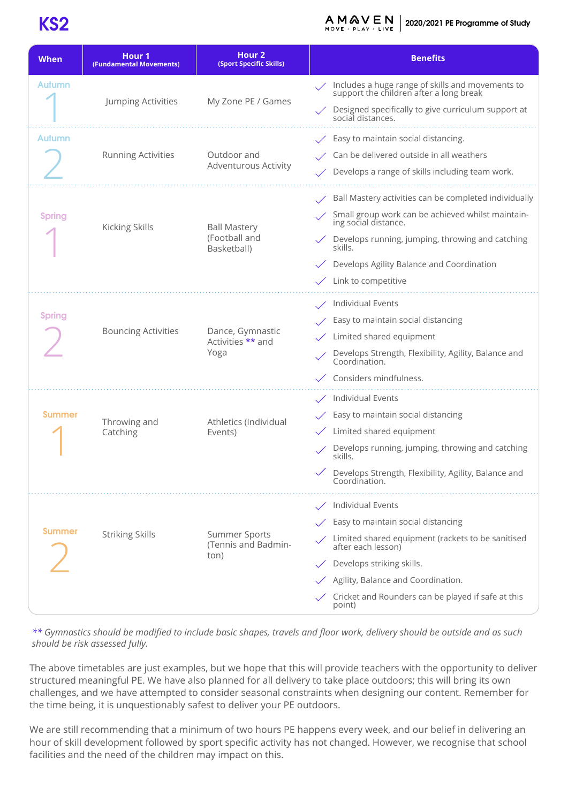### **KS2**

**2020/2021 PE Programme of Study** MOVE · PLAY · LIVE

| <b>When</b>   | Hour <sub>1</sub><br>(Fundamental Movements) | Hour <sub>2</sub><br>(Sport Specific Skills)        | <b>Benefits</b>                                                                             |
|---------------|----------------------------------------------|-----------------------------------------------------|---------------------------------------------------------------------------------------------|
| Autumn        |                                              |                                                     | Includes a huge range of skills and movements to<br>support the children after a long break |
|               | Jumping Activities                           | My Zone PE / Games                                  | Designed specifically to give curriculum support at<br>social distances.                    |
| Autumn        | <b>Running Activities</b>                    | Outdoor and<br><b>Adventurous Activity</b>          | Easy to maintain social distancing.                                                         |
|               |                                              |                                                     | Can be delivered outside in all weathers                                                    |
|               |                                              |                                                     | Develops a range of skills including team work.                                             |
|               | <b>Kicking Skills</b>                        | <b>Ball Mastery</b><br>(Football and<br>Basketball) | Ball Mastery activities can be completed individually                                       |
| <b>Spring</b> |                                              |                                                     | Small group work can be achieved whilst maintain-<br>ing social distance.                   |
|               |                                              |                                                     | Develops running, jumping, throwing and catching<br>skills.                                 |
|               |                                              |                                                     | Develops Agility Balance and Coordination                                                   |
|               |                                              |                                                     | Link to competitive                                                                         |
|               | <b>Bouncing Activities</b>                   | Dance, Gymnastic<br>Activities ** and<br>Yoga       | Individual Events                                                                           |
| <b>Spring</b> |                                              |                                                     | Easy to maintain social distancing                                                          |
|               |                                              |                                                     | Limited shared equipment                                                                    |
|               |                                              |                                                     | Develops Strength, Flexibility, Agility, Balance and<br>Coordination.                       |
|               |                                              |                                                     | Considers mindfulness.                                                                      |
|               | Throwing and                                 | Athletics (Individual<br>Events)                    | Individual Events                                                                           |
| <b>Summer</b> |                                              |                                                     | Easy to maintain social distancing                                                          |
|               | Catching                                     |                                                     | Limited shared equipment                                                                    |
|               |                                              |                                                     | Develops running, jumping, throwing and catching<br>skills.                                 |
|               |                                              |                                                     | Develops Strength, Flexibility, Agility, Balance and<br>Coordination.                       |
|               | <b>Striking Skills</b>                       | <b>Summer Sports</b><br>(Tennis and Badmin-<br>ton) | Individual Events                                                                           |
| <b>Summer</b> |                                              |                                                     | Easy to maintain social distancing                                                          |
|               |                                              |                                                     | Limited shared equipment (rackets to be sanitised<br>after each lesson)                     |
|               |                                              |                                                     | Develops striking skills.                                                                   |
|               |                                              |                                                     | Agility, Balance and Coordination.                                                          |
|               |                                              |                                                     | Cricket and Rounders can be played if safe at this<br>point)                                |

*\*\* Gymnastics should be modified to include basic shapes, travels and floor work, delivery should be outside and as such should be risk assessed fully.* 

The above timetables are just examples, but we hope that this will provide teachers with the opportunity to deliver structured meaningful PE. We have also planned for all delivery to take place outdoors; this will bring its own challenges, and we have attempted to consider seasonal constraints when designing our content. Remember for the time being, it is unquestionably safest to deliver your PE outdoors.

We are still recommending that a minimum of two hours PE happens every week, and our belief in delivering an hour of skill development followed by sport specific activity has not changed. However, we recognise that school facilities and the need of the children may impact on this.